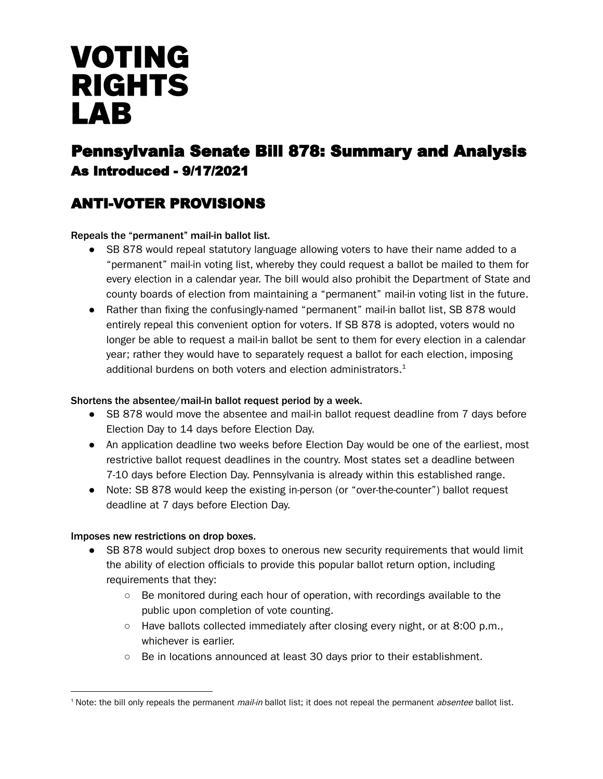# **VOTING RIGHTS** LAB

# Pennsylvania Senate Bill 878: Summary and Analysis As Introduced - 9/17/2021

# ANTI-VOTER PROVISIONS

### Repeals the "permanent" mail-in ballot list.

- SB 878 would repeal statutory language allowing voters to have their name added to a "permanent" mail-in voting list, whereby they could request a ballot be mailed to them for every election in a calendar year. The bill would also prohibit the Department of State and county boards of election from maintaining a "permanent" mail-in voting list in the future.
- Rather than fixing the confusingly-named "permanent" mail-in ballot list, SB 878 would entirely repeal this convenient option for voters. If SB 878 is adopted, voters would no longer be able to request a mail-in ballot be sent to them for every election in a calendar year; rather they would have to separately request a ballot for each election, imposing additional burdens on both voters and election administrators. $^{\text{1}}$

## Shortens the absentee/mail-in ballot request period by a week.

- SB 878 would move the absentee and mail-in ballot request deadline from 7 days before Election Day to 14 days before Election Day.
- An application deadline two weeks before Election Day would be one of the earliest, most restrictive ballot request deadlines in the country. Most states set a deadline between 7-10 days before Election Day. Pennsylvania is already within this established range.
- Note: SB 878 would keep the existing in-person (or "over-the-counter") ballot request deadline at 7 days before Election Day.

## Imposes new restrictions on drop boxes.

- SB 878 would subject drop boxes to onerous new security requirements that would limit the ability of election officials to provide this popular ballot return option, including requirements that they:
	- Be monitored during each hour of operation, with recordings available to the public upon completion of vote counting.
	- Have ballots collected immediately after closing every night, or at 8:00 p.m., whichever is earlier.
	- Be in locations announced at least 30 days prior to their establishment.

<sup>&</sup>lt;sup>1</sup> Note: the bill only repeals the permanent mail-in ballot list; it does not repeal the permanent absentee ballot list.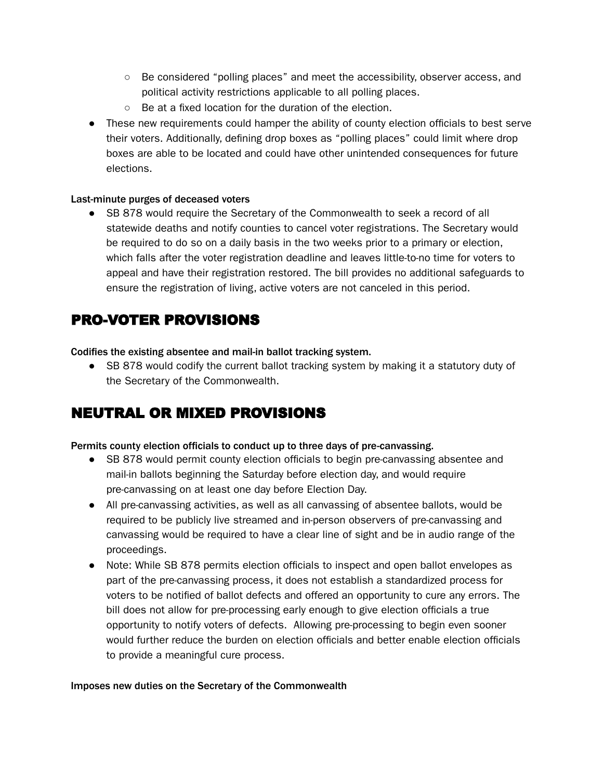- Be considered "polling places" and meet the accessibility, observer access, and political activity restrictions applicable to all polling places.
- Be at a fixed location for the duration of the election.
- These new requirements could hamper the ability of county election officials to best serve their voters. Additionally, defining drop boxes as "polling places" could limit where drop boxes are able to be located and could have other unintended consequences for future elections.

#### Last-minute purges of deceased voters

• SB 878 would require the Secretary of the Commonwealth to seek a record of all statewide deaths and notify counties to cancel voter registrations. The Secretary would be required to do so on a daily basis in the two weeks prior to a primary or election, which falls after the voter registration deadline and leaves little-to-no time for voters to appeal and have their registration restored. The bill provides no additional safeguards to ensure the registration of living, active voters are not canceled in this period.

## PRO-VOTER PROVISIONS

Codifies the existing absentee and mail-in ballot tracking system.

● SB 878 would codify the current ballot tracking system by making it a statutory duty of the Secretary of the Commonwealth.

## NEUTRAL OR MIXED PROVISIONS

#### Permits county election officials to conduct up to three days of pre-canvassing.

- **●** SB 878 would permit county election officials to begin pre-canvassing absentee and mail-in ballots beginning the Saturday before election day, and would require pre-canvassing on at least one day before Election Day.
- **●** All pre-canvassing activities, as well as all canvassing of absentee ballots, would be required to be publicly live streamed and in-person observers of pre-canvassing and canvassing would be required to have a clear line of sight and be in audio range of the proceedings.
- Note: While SB 878 permits election officials to inspect and open ballot envelopes as part of the pre-canvassing process, it does not establish a standardized process for voters to be notified of ballot defects and offered an opportunity to cure any errors. The bill does not allow for pre-processing early enough to give election officials a true opportunity to notify voters of defects. Allowing pre-processing to begin even sooner would further reduce the burden on election officials and better enable election officials to provide a meaningful cure process.

#### Imposes new duties on the Secretary of the Commonwealth